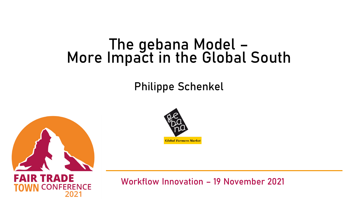## The gebana Model – More Impact in the Global South

## Philippe Schenkel





FAIR TRADE **ERENCE** 

Workflow Innovation – 19 November 2021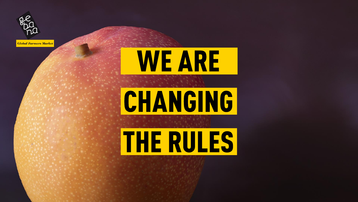

**Global Farmers Market** 





# THE RULES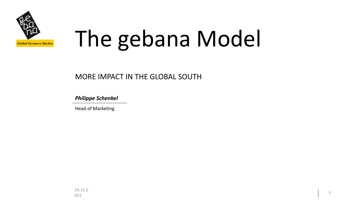

# The gebana Model

#### MORE IMPACT IN THE GLOBAL SOUTH

*Philippe Schenkel*

Head of Marketing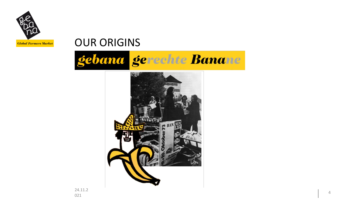

## OUR ORIGINS



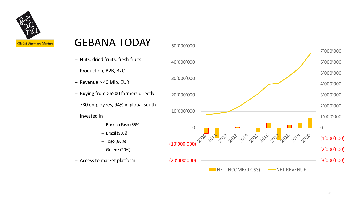

#### GEBANA TODAY

- − Nuts, dried fruits, fresh fruits
- − Production, B2B, B2C
- − Revenue > 40 Mio. EUR
- − Buying from >6500 farmers directly
- − 780 employees, 94% in global south
- − Invested in
	- − Burkina Faso (65%)
	- − Brazil (90%)
	- − Togo (80%)
	- − Greece (20%)
- 

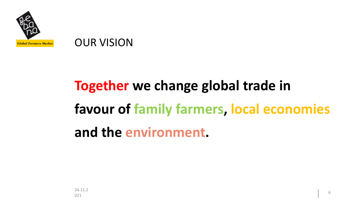

#### OUR VISION

## **Together we change global trade in favour of family farmers, local economies and the environment.**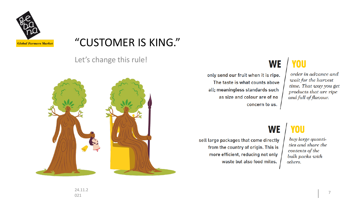

#### "CUSTOMER IS KING."

Let's change this rule!



#### **YOU WE**

only send our fruit when it is ripe. The taste is what counts above all; meaningless standards such as size and colour are of no concern to us.

order in advance and wait for the harvest time. That way you get products that are ripe and full of flavour.

#### **WE**

sell large packages that come directly from the country of origin. This is more efficient, reducing not only waste but also food miles.

#### **YOU**

buy large quantities and share the contents of the bulk packs with others.

24.11.2 ен. п. е.<br>021 февраля — Солония Советский, американский советский советский советский советский советский советский сове<br>Предлагает Советский советский советский советский советский советский советский советский советский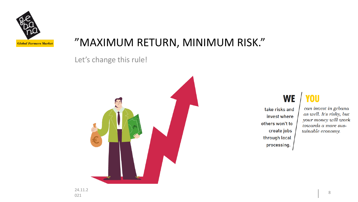

#### "MAXIMUM RETURN, MINIMUM RISK."

Let's change this rule!



**WE** 

take risks and invest where others won't to create jobs tainable economy. through local processing.

**YOU** can invest in gebana as well. It's risky, but your money will work towards a more sus-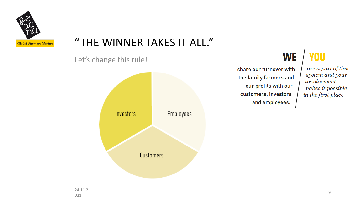

## "THE WINNER TAKES IT ALL."

Let's change this rule!



#### **YOU WE**

share our turnover with the family farmers and our profits with our customers, investors and employees.

#### are a part of this system and your involvement makes it possible in the first place.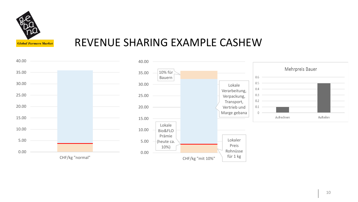

#### REVENUE SHARING EXAMPLE CASHEW

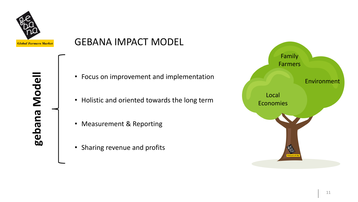

**gebana Modell**

gebana Modell

#### GEBANA IMPACT MODEL

- Focus on improvement and implementation
- Holistic and oriented towards the long term
- Measurement & Reporting
- Sharing revenue and profits

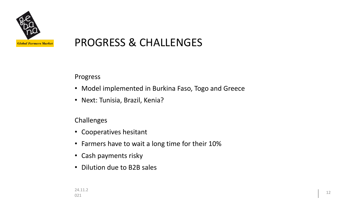

#### PROGRESS & CHALLENGES

Progress

- Model implemented in Burkina Faso, Togo and Greece
- Next: Tunisia, Brazil, Kenia?

Challenges

- Cooperatives hesitant
- Farmers have to wait a long time for their 10%
- Cash payments risky
- Dilution due to B2B sales